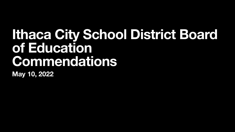#### **Ithaca City School District Board of Education Commendations May 10, 2022**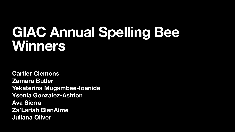### **GIAC Annual Spelling Bee Winners**

**Cartier Clemons Zamara Butler Yekaterina Mugambee-Ioanide Ysenia Gonzalez-Ashton Ava Sierra Za'Lariah BienAime Juliana Oliver**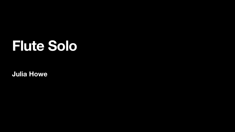### **Flute Solo**

**Julia Howe**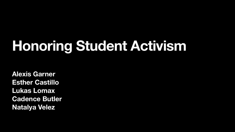# **Honoring Student Activism**

**Alexis Garner Esther Castillo Lukas Lomax Cadence Butler Natalya Velez**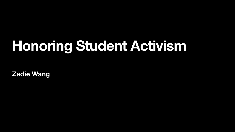# **Honoring Student Activism**

**Zadie Wang**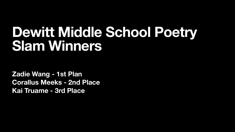### **Dewitt Middle School Poetry Slam Winners**

**Zadie Wang - 1st Plan Corallus Meeks - 2nd Place**  Kai Truame - 3rd Place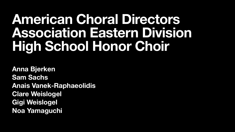#### **American Choral Directors Association Eastern Division High School Honor Choir**

**Anna Bjerken Sam Sachs Anais Vanek-Raphaeolidis Clare Weislogel Gigi Weislogel Noa Yamaguchi**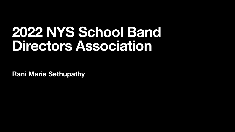#### **2022 NYS School Band Directors Association**

**Rani Marie Sethupathy**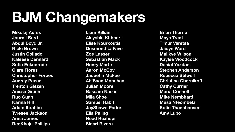## **BJM Changemakers**

**Mikolaj Aures Journii Bard Abdul Boyd Jr. Nicki Brown Justin Collado Kaleese Dennard Sofia Eckenrode Clare Flores Christopher Forbes Audrey Pecan Trenton Glezen Anissa Green Ruo Guan Karina Hill Adam Ibrahim Tyresee Jackson Anna James RenKhaja-Phillips** 

**Liam Killian Alayshia Kithcart Elise Kourkoutis Desmond LaFave Zoe Lasser Sebastian Mack Henry Marte Aaron McCoy Jaquetin McFee Ah'Saan Monahan Julian Moore Bassam Naser Mila Shoe Samuel Habit JayShawn Padre Ella Paling Need Rexhepi Sidari Rivera** 

**Brian Thorne Maya Trent Timur Varetsa Jaidyn Ward Malikye Wilson Kaylee Woodcock Danial Yazdani Stephen Anderson Rebecca Stilwell Christine Chernikoff Cathy Currier Maria Connell Mike Nembhard Musa Nteombela Katie Thannhauser Amy Lupo**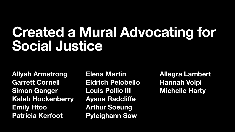### **Created a Mural Advocating for Social Justice**

**Allyah Armstrong Garrett Cornell Simon Ganger Kaleb Hockenberry Emily Htoo Patricia Kerfoot** 

**Elena Martin Eldrich Pelobello Louis Pollio III Ayana Radcliffe Arthur Soeung Pyleighann Sow** 

**Allegra Lambert Hannah Volpi Michelle Harty**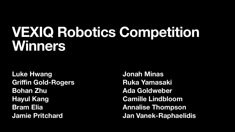#### **VEXIQ Robotics Competition Winners**

**Luke Hwang Griffin Gold-Rogers Bohan Zhu Hayul Kang Bram Elia Jamie Pritchard** 

**Jonah Minas Ruka Yamasaki Ada Goldweber Camille Lindbloom Annalise Thompson Jan Vanek-Raphaelidis**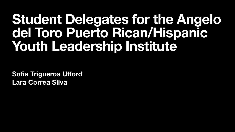#### **Student Delegates for the Angelo del Toro Puerto Rican/Hispanic Youth Leadership Institute**

**Sofia Trigueros Ufford Lara Correa Silva**

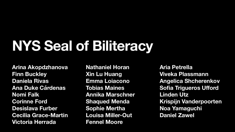# **NYS Seal of Biliteracy**

**Arina Akopdzhanova Finn Buckley Daniela Rivas Ana Duke Cárdenas Nomi Falk Corinne Ford Desislava Furber Cecilia Grace-Martin Victoria Herrada** 

- 
- 
- 
- 
- **Annika Marschner** 
	-
	-
	-
	-

**Nathaniel Horan Xin Lu Huang Emma Loiacono Tobias Maines Shaqued Menda Sophie Mertha Louisa Miller-Out Fennel Moore** 

**Aria Petrella Viveka Plassmann Angelica Shcherenkov Sofia Trigueros Ufford Linden Utz Krispijn Vanderpoorten Noa Yamaguchi Daniel Zawel**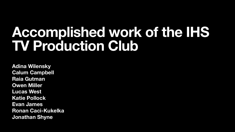### **Accomplished work of the IHS TV Production Club**

**Adina Wilensky Calum Campbell Raia Gutman Owen Miller Lucas West Katie Pollock Evan James Ronan Caci-Kukelka Jonathan Shyne**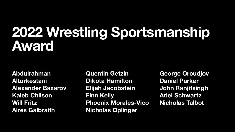### **2022 Wrestling Sportsmanship Award**

**Abdulrahman Alturkestani Alexander Bazarov Kaleb Chilson Will Fritz Aires Galbraith** 

**Quentin Getzin Dikota Hamilton Finn Kelly** 

**Elijah Jacobstein Phoenix Morales-Vico Nicholas Oplinger** 

**George Oroudjov Daniel Parker John Ranjitsingh Ariel Schwartz Nicholas Talbot**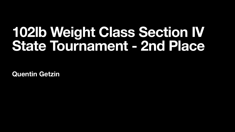### **102lb Weight Class Section IV State Tournament - 2nd Place**

**Quentin Getzin**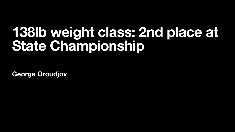### **138lb weight class: 2nd place at State Championship**

**George Oroudjov**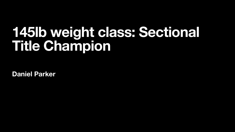### **145lb weight class: Sectional Title Champion**

**Daniel Parker**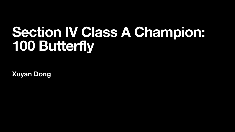### **Section IV Class A Champion: 100 Butterfly**

**Xuyan Dong**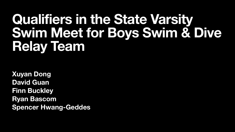#### **Qualifiers in the State Varsity Swim Meet for Boys Swim & Dive Relay Team**

**Xuyan Dong David Guan Finn Buckley Ryan Bascom Spencer Hwang-Geddes** 

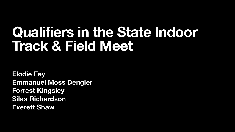### **Qualifiers in the State Indoor Track & Field Meet**

**Elodie Fey Emmanuel Moss Dengler Forrest Kingsley Silas Richardson Everett Shaw**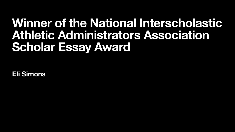#### **Winner of the National Interscholastic Athletic Administrators Association Scholar Essay Award**

**Eli Simons**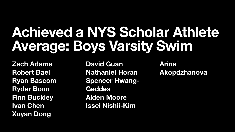## **Achieved a NYS Scholar Athlete Average: Boys Varsity Swim**

**Zach Adams Robert Bael Ryan Bascom Ryder Bonn Finn Buckley Ivan Chen Xuyan Dong** 

**David Guan Geddes Alden Moore** 

- **Nathaniel Horan Spencer Hwang-**
	-
- **Issei Nishii-Kim**

**Arina Akopdzhanova**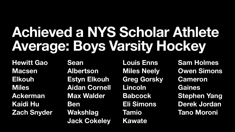### **Achieved a NYS Scholar Athlete Average: Boys Varsity Hockey**

**Hewitt Gao Macsen Elkouh Miles Ackerman Kaidi Hu Zach Snyder**  **Sean Albertson Estyn Elkouh Aidan Cornell Max Walder Ben Wakshlag Jack Cokeley** 

**Louis Enns Miles Neely Greg Gorsky Lincoln Babcock Eli Simons Tamio Kawate** 

**Sam Holmes Owen Simons Cameron Gaines Stephen Yang Derek Jordan Tano Moroni** 

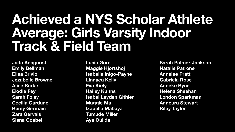#### **Achieved a NYS Scholar Athlete Average: Girls Varsity Indoor Track & Field Team**

**Jada Anagnost Emily Bellman Elisa Brivio Jezabelle Browne Alice Burke Elodie Fey Sarah Foley Cecilia Garduno Remy Germain Zara Gervais Siena Goebel** 

**Lucia Gore Maggie Hjortshoj Isabella Inigo-Payne Linnaea Kelly Eva Kiely Hailey Kuhns Isabel Leyden Githler Maggie Ma Izabella Mabaya Tumude Miller Aya Oulida** 

**Sarah Palmer-Jackson Natalie Patrone Annalee Pratt Gabriela Rose Anneke Ryan Helena Sheehan London Sparkman Annoura Stewart Riley Taylor**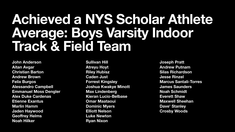#### **Achieved a NYS Scholar Athlete Average: Boys Varsity Indoor Track & Field Team**

**John Anderson Aitan Avgar Christian Barton Andrew Brown Felix Burgos Alessandro Campbell Emmanuel Moss Dengler Alex Duke Cardenas Etienne Exantus Marlin Hamm Jaden Haywood Geoffrey Helms Noah Hilker** 

**Sullivan Hill Atreyu Hoyt Riley Hubisz Caden Just Forrest Kingsley Joshua Kwakye Minott Max Lindenberg Kieran Lucio-Belbase Omar Maataoui Dominic Myers Elliott Nelson Luke Newton Ryan Nixon** 

**Joseph Pratt Andrew Putnam Silas Richardson Jesse Rinzel Marcus Santali-Torres James Saunders Noah Schmidt Everett Shaw Maxwell Sheehan Dave' Stanley Crosby Woods**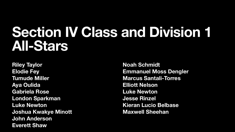#### **Section IV Class and Division 1 All-Stars**

**Riley Taylor Elodie Fey Tumude Miller Aya Oulida Gabriela Rose London Sparkman Luke Newton Joshua Kwakye Minott John Anderson Everett Shaw** 

**Noah Schmidt Emmanuel Moss Dengler Marcus Santali-Torres Elliott Nelson Luke Newton Jesse Rinzel Kieran Lucio Belbase Maxwell Sheehan**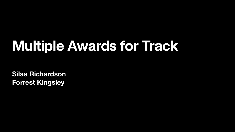## **Multiple Awards for Track**

**Silas Richardson Forrest Kingsley**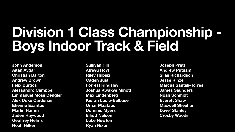## **Division 1 Class Championship - Boys Indoor Track & Field**

**John Anderson Aitan Avgar Christian Barton Andrew Brown Felix Burgos Alessandro Campbell Emmanuel Moss Dengler Alex Duke Cardenas Etienne Exantus Marlin Hamm Jaden Haywood Geoffrey Helms Noah Hilker** 

**Sullivan Hill Atreyu Hoyt Riley Hubisz Caden Just Forrest Kingsley Joshua Kwakye Minott Max Lindenberg Kieran Lucio-Belbase Omar Maataoui Dominic Myers Elliott Nelson Luke Newton Ryan Nixon** 

**Joseph Pratt Andrew Putnam Silas Richardson Jesse Rinzel Marcus Santali-Torres James Saunders Noah Schmidt Everett Shaw Maxwell Sheehan Dave' Stanley Crosby Woods**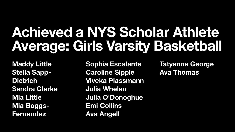### **Achieved a NYS Scholar Athlete Average: Girls Varsity Basketball**

**Maddy Little Stella Sapp-Dietrich Sandra Clarke Mia Little Mia Boggs-Fernandez** 

- **Sophia Escalante**
- **Caroline Sipple**
- **Viveka Plassmann** 
	-
- **Julia O'Donoghue** 
	-
	-

**Julia Whelan Emi Collins Ava Angell** 

**Tatyanna George Ava Thomas**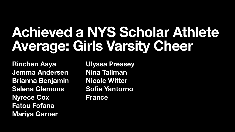## **Achieved a NYS Scholar Athlete Average: Girls Varsity Cheer**

**Rinchen Aaya Jemma Andersen Brianna Benjamin Selena Clemons Nyrece Cox Fatou Fofana Mariya Garner** 

**Ulyssa Pressey Nina Tallman Nicole Witter Sofia Yantorno France**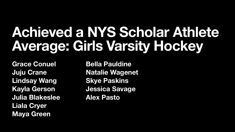### **Achieved a NYS Scholar Athlete Average: Girls Varsity Hockey**

**Grace Conuel Juju Crane Lindsay Wang Kayla Gerson Julia Blakeslee Liala Cryer Maya Green** 

**Bella Pauldine Skye Paskins Alex Pasto** 

- 
- **Natalie Wagenet** 
	-
- **Jessica Savage** 
	-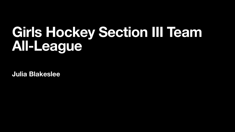### **Girls Hockey Section III Team All-League**

**Julia Blakeslee**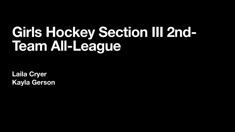### **Girls Hockey Section III 2nd-Team All-League**

**Laila Cryer Kayla Gerson**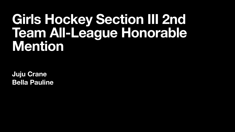#### **Girls Hockey Section III 2nd Team All-League Honorable Mention**

**Juju Crane Bella Pauline**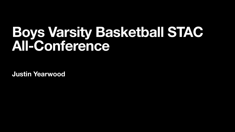#### **Boys Varsity Basketball STAC All-Conference**

**Justin Yearwood**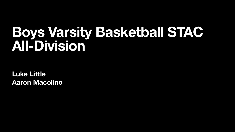#### **Boys Varsity Basketball STAC All-Division**

**Luke Little Aaron Macolino**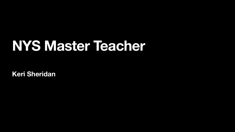### **NYS Master Teacher**

**Keri Sheridan**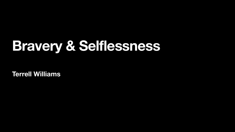# **Bravery & Selflessness**

**Terrell Williams**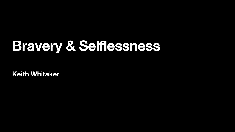# **Bravery & Selflessness**

**Keith Whitaker**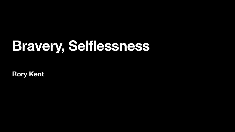# **Bravery, Selflessness**

**Rory Kent**

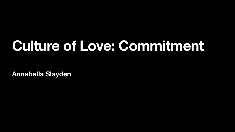### **Culture of Love: Commitment**

**Annabella Slayden**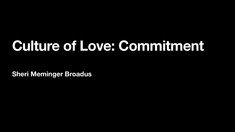### **Culture of Love: Commitment**

**Sheri Meminger Broadus**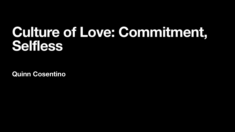#### **Culture of Love: Commitment, Selfless**

**Quinn Cosentino**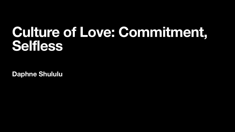#### **Culture of Love: Commitment, Selfless**

**Daphne Shululu**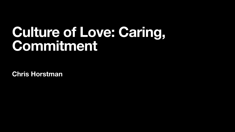#### **Culture of Love: Caring, Commitment**

**Chris Horstman**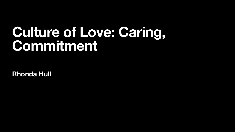#### **Culture of Love: Caring, Commitment**

**Rhonda Hull**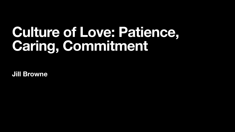### **Culture of Love: Patience, Caring, Commitment**

**Jill Browne**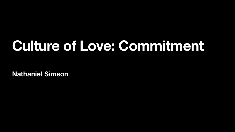### **Culture of Love: Commitment**

**Nathaniel Simson**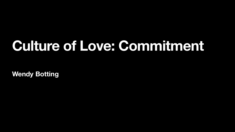### **Culture of Love: Commitment**

**Wendy Botting**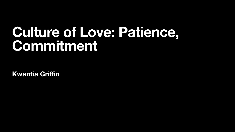#### **Culture of Love: Patience, Commitment**

**Kwantia Griffin**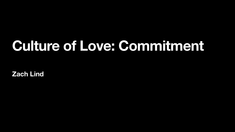### **Culture of Love: Commitment**

**Zach Lind**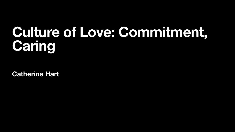### **Culture of Love: Commitment, Caring**

**Catherine Hart**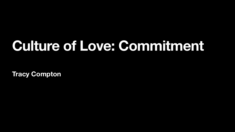### **Culture of Love: Commitment**

**Tracy Compton**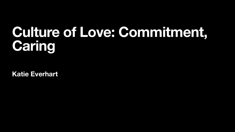### **Culture of Love: Commitment, Caring**

**Katie Everhart**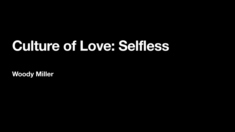### **Culture of Love: Selfless**

**Woody Miller**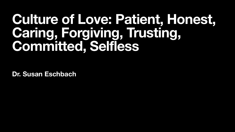#### **Culture of Love: Patient, Honest, Caring, Forgiving, Trusting, Committed, Selfless**

**Dr. Susan Eschbach**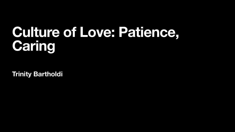### **Culture of Love: Patience, Caring**

**Trinity Bartholdi**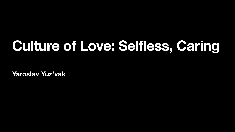# **Culture of Love: Selfless, Caring**

**Yaroslav Yuz'vak**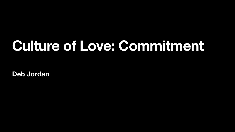### **Culture of Love: Commitment**

**Deb Jordan**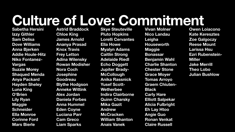### **Culture of Love: Commitment**

**Sabetha Hersini Izzy Githler Sam Delisa Dove Williams Anna Bjerken Addie Houle-Hitz Niko Fontanez-Vargas Suzzie Morey Shaqued Menda Anya Packard Hayden Sheley Luna King O'Brien Lily Ryan Maggie Schneider Ella Monroe Corinne Ford Mars Bierle** 

**Astrid Braddock Chloe King James Arnold Ananya Prasad Knox Travis Frey Letton Adina Wilensky Rowan Modisher Nora Coch Josephine Goodreau Blythe Hodgson Anneke Wittink Alex Jordan Daniela Forbes Anna Hummel Eden Coyne Luciana Parr Cam Greco Liam Sparks** 

**Skye Steuteville Pluto Hopkins Lorelli Cervantes Ella Howe Myalyn Adams Caitlin Strong Adelaide Riedl Echo Doggett Jupiter Brady-McCollough Anika Rassnick Yusef Scott-Wetherbee Indira Clairborne Quinn Charsky Mika Gazit Andrew McCracken William Shanton Anais Vanek** 

**Vivan Molner Nico Landau Leigha Houseworth Maggie Bonassar Benjamin Wahl Charlie Shanton Chester Stone Grace Moyer Tomas Arroyo Graem Chiuten-Black Carly Hare Elliott Salpekar Alicia Fulbright Eh Lay Htoo Angie Guo Ronan Venkat Claire Russell** 

**Owen Loiacono Kate Keresztes Zoe Galgoczy Reese Mount Larissa Hsu Ezri Rubenstein-Miller Jake Merrill Theo Lobo Julian Bushlow**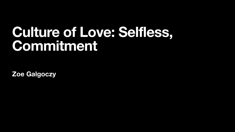#### **Culture of Love: Selfless, Commitment**

**Zoe Galgoczy**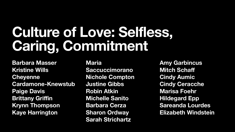## **Culture of Love: Selfless, Caring, Commitment**

**Barbara Masser Kristine Wills Cheyenne Cardamone-Knewstub Paige Davis Brittany Griffin Krynn Thompson Kaye Harrington** 

**Maria Saccuccimorano Nichole Compton Justine Gibbs Robin Atkin Michelle Sanito Barbara Cerza Sharon Ordway Sarah Strichartz** 

**Amy Garbincus Mitch Schaff Cindy Aumic Cindy Ceracche Marisa Foehr Hildegard Epp Sareanda Lourdes Elizabeth Windstein**